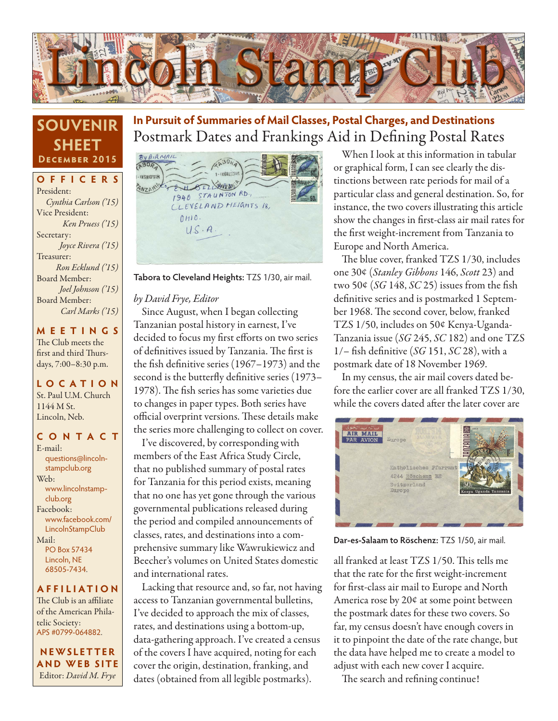

## **SOUVENIR SHEET December 2015**

**OFFICERS** President: *Cynthia Carlson ('15)* Vice President: *Ken Pruess ('15)* Secretary: *Joyce Rivera ('15)* Treasurer: *Ron Ecklund ('15)* Board Member: *Joel Johnson ('15)* Board Member: *Carl Marks ('15)*

**MEETINGS** The Club meets the first and third Thursdays, 7:00–8:30 p.m.

**LO C ATI O N** St. Paul U.M. Church 1144 M St. Lincoln, Neb.

**CONTACT**

E-mail: questions@lincolnstampclub.org Web: www.lincolnstampclub.org Facebook: www.facebook.com/ LincolnStampClub Mail: PO Box 57434 Lincoln, NE 68505-7434.

**AFFI LIATI O N**

The Club is an affiliate of the American Philatelic Society: APS #0799-064882.

**NEWSLETTER AND WEB SITE** Editor: *David M. Frye*

# Postmark Dates and Frankings Aid in Defining Postal Rates **In Pursuit of Summaries of Mail Classes, Postal Charges, and Destinations**



**Tabora to Cleveland Heights:** TZS 1/30, air mail.

#### *by David Frye, Editor*

Since August, when I began collecting Tanzanian postal history in earnest, I've decided to focus my first efforts on two series of definitives issued by Tanzania. The first is the fish definitive series (1967–1973) and the second is the butterfly definitive series (1973– 1978). The fish series has some varieties due to changes in paper types. Both series have official overprint versions. These details make the series more challenging to collect on cover.

I've discovered, by corresponding with members of the East Africa Study Circle, that no published summary of postal rates for Tanzania for this period exists, meaning that no one has yet gone through the various governmental publications released during the period and compiled announcements of classes, rates, and destinations into a comprehensive summary like Wawrukiewicz and Beecher's volumes on United States domestic and international rates.

Lacking that resource and, so far, not having access to Tanzanian governmental bulletins, I've decided to approach the mix of classes, rates, and destinations using a bottom-up, data-gathering approach. I've created a census of the covers I have acquired, noting for each cover the origin, destination, franking, and dates (obtained from all legible postmarks).

When I look at this information in tabular or graphical form, I can see clearly the distinctions between rate periods for mail of a particular class and general destination. So, for instance, the two covers illustrating this article show the changes in first-class air mail rates for the first weight-increment from Tanzania to Europe and North America.

The blue cover, franked TZS 1/30, includes one 30¢ (*Stanley Gibbons* 146, *Scott* 23) and two 50¢ (*SG* 148, *SC* 25) issues from the fish definitive series and is postmarked 1 September 1968. The second cover, below, franked TZS 1/50, includes on 50¢ Kenya-Uganda-Tanzania issue (*SG* 245, *SC* 182) and one TZS 1/– fish definitive (*SG* 151, *SC* 28), with a postmark date of 18 November 1969.

In my census, the air mail covers dated before the earlier cover are all franked TZS 1/30, while the covers dated after the later cover are



**Dar-es-Salaam to Röschenz:** TZS 1/50, air mail.

all franked at least TZS 1/50. This tells me that the rate for the first weight-increment for first-class air mail to Europe and North America rose by 20¢ at some point between the postmark dates for these two covers. So far, my census doesn't have enough covers in it to pinpoint the date of the rate change, but the data have helped me to create a model to adjust with each new cover I acquire.

The search and refining continue!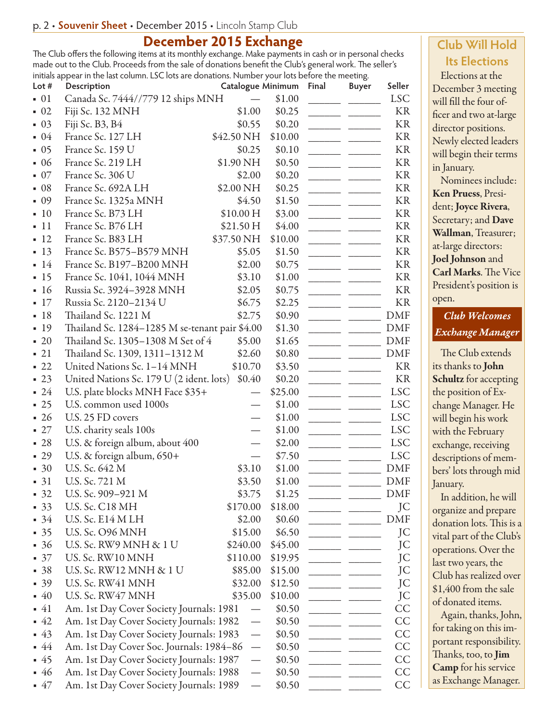#### **December 2015 Exchange**

The Club offers the following items at its monthly exchange. Make payments in cash or in personal checks made out to the Club. Proceeds from the sale of donations benefit the Club's general work. The seller's initials appear in the last column. LSC lots are donations. Number your lots before the meeting.

| Lot $#$           | Description                                    | Catalogue Minimum                 |         |  | <b>Buyer</b> | Seller     |
|-------------------|------------------------------------------------|-----------------------------------|---------|--|--------------|------------|
| $\blacksquare$ 01 | Canada Sc. 7444//779 12 ships MNH              |                                   | \$1.00  |  |              | <b>LSC</b> |
| $\blacksquare$ 02 | Fiji Sc. 132 MNH                               | \$1.00                            | \$0.25  |  |              | KR         |
| $\blacksquare$ 03 | Fiji Sc. B3, B4                                | \$0.55                            | \$0.20  |  |              | KR         |
| 04                | France Sc. 127 LH                              | \$42.50 NH                        | \$10.00 |  |              | <b>KR</b>  |
| $-05$             | France Sc. 159 U                               | \$0.25                            | \$0.10  |  |              | KR         |
| $-06$             | France Sc. 219 LH                              | \$1.90 NH                         | \$0.50  |  |              | KR         |
| $\blacksquare$ 07 | France Sc. 306 U                               | \$2.00                            | \$0.20  |  |              | KR         |
| $-08$             | France Sc. 692A LH                             | \$2.00 NH                         | \$0.25  |  |              | KR         |
| .09               | France Sc. 1325a MNH                           | \$4.50                            | \$1.50  |  |              | KR         |
| 10                | France Sc. B73 LH                              | \$10.00 H                         | \$3.00  |  |              | KR         |
| 11                | France Sc. B76 LH                              | \$21.50 H                         | \$4.00  |  |              | KR         |
| $-12$             | France Sc. B83 LH                              | \$37.50 NH                        | \$10.00 |  |              | KR         |
| $-13$             | France Sc. B575-B579 MNH                       | \$5.05                            | \$1.50  |  |              | KR         |
| $-14$             | France Sc. B197-B200 MNH                       | \$2.00                            | \$0.75  |  |              | KR         |
| $-15$             | France Sc. 1041, 1044 MNH                      | \$3.10                            | \$1.00  |  |              | KR         |
| $-16$             | Russia Sc. 3924-3928 MNH                       | \$2.05                            | \$0.75  |  |              | KR         |
|                   |                                                |                                   |         |  |              |            |
| $-17$             | Russia Sc. 2120-2134 U                         | \$6.75                            | \$2.25  |  |              | <b>KR</b>  |
| $-18$             | Thailand Sc. 1221 M                            | \$2.75                            | \$0.90  |  |              | <b>DMF</b> |
| $-19$             | Thailand Sc. 1284–1285 M se-tenant pair \$4.00 |                                   | \$1.30  |  |              | <b>DMF</b> |
| $\blacksquare$ 20 | Thailand Sc. 1305-1308 M Set of 4              | \$5.00                            | \$1.65  |  |              | DMF        |
| $-21$             | Thailand Sc. 1309, 1311–1312 M                 | \$2.60                            | \$0.80  |  |              | DMF        |
| $-22$             | United Nations Sc. 1-14 MNH                    | \$10.70                           | \$3.50  |  |              | KR         |
| $-23$             | United Nations Sc. 179 U (2 ident. lots)       | \$0.40                            | \$0.20  |  |              | KR         |
| $-24$             | U.S. plate blocks MNH Face \$35+               |                                   | \$25.00 |  |              | <b>LSC</b> |
| $-25$             | U.S. common used 1000s                         |                                   | \$1.00  |  |              | <b>LSC</b> |
| $-26$             | U.S. 25 FD covers                              |                                   | \$1.00  |  |              | <b>LSC</b> |
| $-27$             | U.S. charity seals 100s                        |                                   | \$1.00  |  |              | <b>LSC</b> |
| $-28$             | U.S. & foreign album, about 400                | $\overline{\phantom{0}}$          | \$2.00  |  |              | <b>LSC</b> |
| $-29$             | U.S. & foreign album, 650+                     |                                   | \$7.50  |  |              | <b>LSC</b> |
| $\blacksquare$ 30 | U.S. Sc. 642 M                                 | \$3.10                            | \$1.00  |  |              | <b>DMF</b> |
| $-31$             | U.S. Sc. 721 M                                 | \$3.50                            | \$1.00  |  |              | <b>DMF</b> |
| 32                | U.S. Sc. 909–921 M                             | \$3.75                            | \$1.25  |  |              | DMF        |
| $-33$             | U.S. Sc. C18 MH                                | \$170.00                          | \$18.00 |  |              | JC         |
| $-34$             | U.S. Sc. E14 M LH                              | \$2.00                            | \$0.60  |  |              | DMF        |
| $-35$             | U.S. Sc. O96 MNH                               | \$15.00                           | \$6.50  |  |              | JC         |
| $-36$             | U.S. Sc. RW9 MNH & 1 U                         | \$240.00                          | \$45.00 |  |              | JC         |
| $-37$             | US. Sc. RW10 MNH                               | \$110.00                          | \$19.95 |  |              | JC         |
| $-38$             | U.S. Sc. RW12 MNH & 1 U                        | \$85.00                           | \$15.00 |  |              | JC         |
| $-39$             | U.S. Sc. RW41 MNH                              | \$32.00                           | \$12.50 |  |              | JC         |
| $-40$             | U.S. Sc. RW47 MNH                              | \$35.00                           | \$10.00 |  |              | JC         |
| $-41$             | Am. 1st Day Cover Society Journals: 1981       | $\overline{\phantom{0}}$          | \$0.50  |  |              | CC         |
| $-42$             | Am. 1st Day Cover Society Journals: 1982       |                                   | \$0.50  |  |              | CC         |
| $-43$             | Am. 1st Day Cover Society Journals: 1983       |                                   | \$0.50  |  |              | CC         |
| - 44              | Am. 1st Day Cover Soc. Journals: 1984-86       | $\overbrace{\phantom{123221111}}$ | \$0.50  |  |              | CC         |
| $-45$             | Am. 1st Day Cover Society Journals: 1987       |                                   | \$0.50  |  |              | CC         |
| $-46$             | Am. 1st Day Cover Society Journals: 1988       |                                   | \$0.50  |  |              | CC         |
| $-47$             | Am. 1st Day Cover Society Journals: 1989       |                                   |         |  |              | CC         |
|                   |                                                | $\overbrace{\phantom{123221111}}$ | \$0.50  |  |              |            |

## **Club Will Hold Its Elections**

Elections at the December 3 meeting will fill the four officer and two at-large director positions. Newly elected leaders will begin their terms in January.

Nominees include: Ken Pruess, President; Joyce Rivera, Secretary; and Dave Wallman, Treasurer; at-large directors: Joel Johnson and Carl Marks. The Vice President's position is open.

#### *Club Welcomes Exchange Manager*

The Club extends its thanks to **John** Schultz for accepting the position of Exchange Manager. He will begin his work with the February exchange, receiving descriptions of members' lots through mid January.

In addition, he will organize and prepare donation lots. This is a vital part of the Club's operations. Over the last two years, the Club has realized over \$1,400 from the sale of donated items.

Again, thanks, John, for taking on this important responsibility. Thanks, too, to **Jim** Camp for his service as Exchange Manager.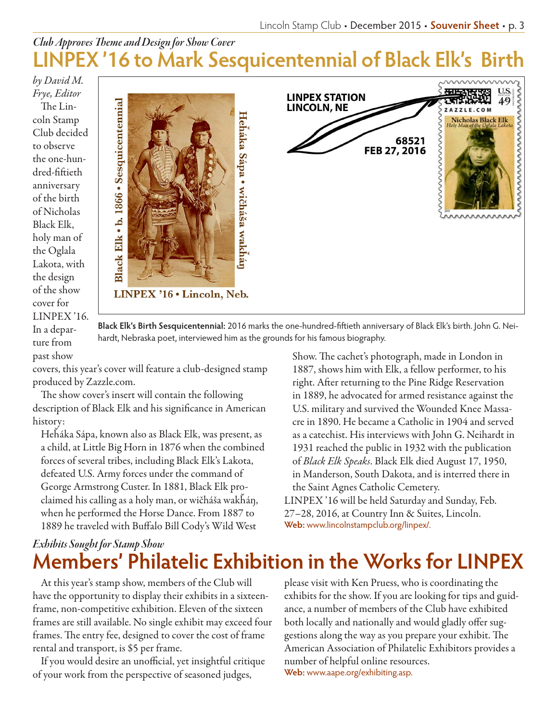# *Club Approves Theme and Design for Show Cover*

*by David M. Frye, Editor*

The Lincoln Stamp Club decided to observe the one-hundred-fiftieth anniversary of the birth of Nicholas Black Elk, holy man of the Oglala Lakota, with the design of the show cover for LINPEX '16. In a departure from past show



**Black Elk's Birth Sesquicentennial:** 2016 marks the one-hundred-fiftieth anniversary of Black Elk's birth. John G. Neihardt, Nebraska poet, interviewed him as the grounds for his famous biography.

covers, this year's cover will feature a club-designed stamp produced by Zazzle.com.

The show cover's insert will contain the following description of Black Elk and his significance in American history:

Heȟáka Sápa, known also as Black Elk, was present, as a child, at Little Big Horn in 1876 when the combined forces of several tribes, including Black Elk's Lakota, defeated U.S. Army forces under the command of George Armstrong Custer. In 1881, Black Elk proclaimed his calling as a holy man, or wičháša wakȟáŋ, when he performed the Horse Dance. From 1887 to 1889 he traveled with Buffalo Bill Cody's Wild West

Show. The cachet's photograph, made in London in 1887, shows him with Elk, a fellow performer, to his right. After returning to the Pine Ridge Reservation in 1889, he advocated for armed resistance against the U.S. military and survived the Wounded Knee Massacre in 1890. He became a Catholic in 1904 and served as a catechist. His interviews with John G. Neihardt in 1931 reached the public in 1932 with the publication of *Black Elk Speaks*. Black Elk died August 17, 1950, in Manderson, South Dakota, and is interred there in the Saint Agnes Catholic Cemetery. LINPEX '16 will be held Saturday and Sunday, Feb.

27–28, 2016, at Country Inn & Suites, Lincoln. **Web:** www.lincolnstampclub.org/linpex/.

# **Members' Philatelic Exhibition in the Works for LINPEX** *Exhibits Sought for Stamp Show*

At this year's stamp show, members of the Club will have the opportunity to display their exhibits in a sixteenframe, non-competitive exhibition. Eleven of the sixteen frames are still available. No single exhibit may exceed four frames. The entry fee, designed to cover the cost of frame rental and transport, is \$5 per frame.

If you would desire an unofficial, yet insightful critique of your work from the perspective of seasoned judges,

please visit with Ken Pruess, who is coordinating the exhibits for the show. If you are looking for tips and guidance, a number of members of the Club have exhibited both locally and nationally and would gladly offer suggestions along the way as you prepare your exhibit. The American Association of Philatelic Exhibitors provides a number of helpful online resources. **Web:** www.aape.org/exhibiting.asp.